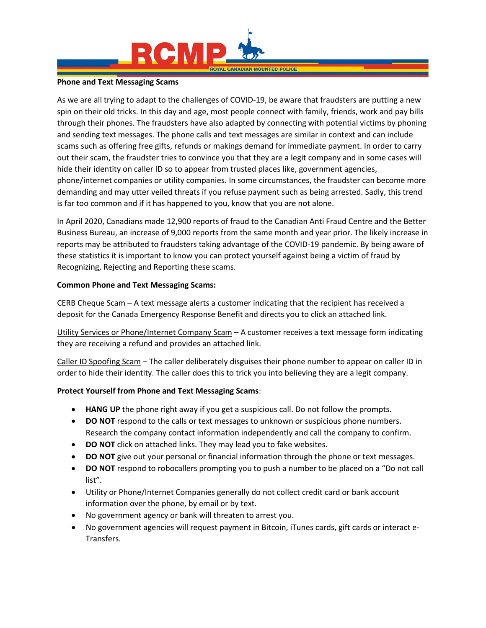

#### **Phone and Text Messaging Scams**

As we are all trying to adapt to the challenges of COVID-19, be aware that fraudsters are putting a new spin on their old tricks. In this day and age, most people connect with family, friends, work and pay bills through their phones. The fraudsters have also adapted by connecting with potential victims by phoning and sending text messages. The phone calls and text messages are similar in context and can include scams such as offering free gifts, refunds or makings demand for immediate payment. In order to carry out their scam, the fraudster tries to convince you that they are a legit company and in some cases will hide their identity on caller ID so to appear from trusted places like, government agencies, phone/internet companies or utility companies. In some circumstances, the fraudster can become more demanding and may utter veiled threats if you refuse payment such as being arrested. Sadly, this trend is far too common and if it has happened to you, know that you are not alone.

In April 2020, Canadians made 12,900 reports of fraud to the Canadian Anti Fraud Centre and the Better Business Bureau, an increase of 9,000 reports from the same month and year prior. The likely increase in reports may be attributed to fraudsters taking advantage of the COVID-19 pandemic. By being aware of these statistics it is important to know you can protect yourself against being a victim of fraud by Recognizing, Rejecting and Reporting these scams.

## **Common Phone and Text Messaging Scams:**

CERB Cheque Scam – A text message alerts a customer indicating that the recipient has received a deposit for the Canada Emergency Response Benefit and directs you to click an attached link.

Utility Services or Phone/Internet Company Scam – A customer receives a text message form indicating they are receiving a refund and provides an attached link.

Caller ID Spoofing Scam – The caller deliberately disguises their phone number to appear on caller ID in order to hide their identity. The caller does this to trick you into believing they are a legit company.

# **Protect Yourself from Phone and Text Messaging Scams**:

- **HANG UP** the phone right away if you get a suspicious call. Do not follow the prompts.
- **DO NOT** respond to the calls or text messages to unknown or suspicious phone numbers. Research the company contact information independently and call the company to confirm.
- **DO NOT** click on attached links. They may lead you to fake websites.
- **DO NOT** give out your personal or financial information through the phone or text messages.
- **DO NOT** respond to robocallers prompting you to push a number to be placed on a "Do not call list".
- Utility or Phone/Internet Companies generally do not collect credit card or bank account information over the phone, by email or by text.
- No government agency or bank will threaten to arrest you.
- No government agencies will request payment in Bitcoin, iTunes cards, gift cards or interact e-Transfers.